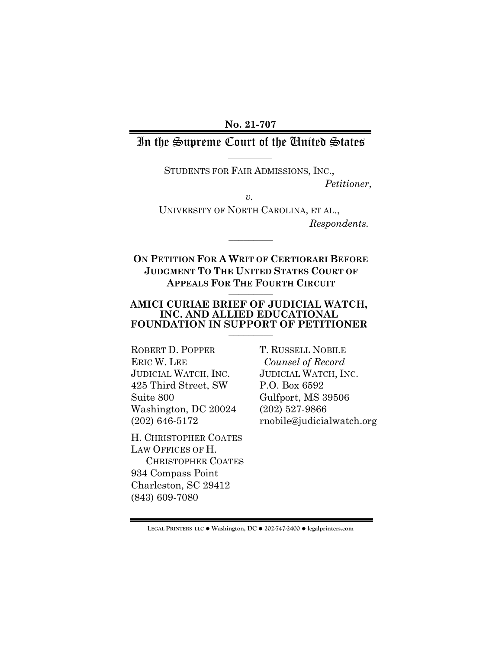**No. 21-707**

## In the Supreme Court of the United States

STUDENTS FOR FAIR ADMISSIONS, INC.,

*Petitioner*,

*v.*

UNIVERSITY OF NORTH CAROLINA, ET AL., *Respondents.*

**ON PETITION FOR A WRIT OF CERTIORARI BEFORE JUDGMENT TO THE UNITED STATES COURT OF APPEALS FOR THE FOURTH CIRCUIT** \_\_\_\_\_\_\_\_\_

 $\overline{\phantom{a}}$  . The set of  $\overline{\phantom{a}}$ 

#### **AMICI CURIAE BRIEF OF JUDICIAL WATCH, INC. AND ALLIED EDUCATIONAL FOUNDATION IN SUPPORT OF PETITIONER** \_\_\_\_\_\_\_\_\_

ROBERT D. POPPER ERIC W. LEE JUDICIAL WATCH, INC. 425 Third Street, SW Suite 800 Washington, DC 20024 (202) 646-5172

H. CHRISTOPHER COATES LAW OFFICES OF H. CHRISTOPHER COATES 934 Compass Point Charleston, SC 29412 (843) 609-7080

T. RUSSELL NOBILE *Counsel of Record* JUDICIAL WATCH, INC. P.O. Box 6592 Gulfport, MS 39506 (202) 527-9866 rnobile@judicialwatch.org

**LEGAL PRINTERS LLC** ! **Washington, DC** ! **202-747-2400** ! **legalprinters.com**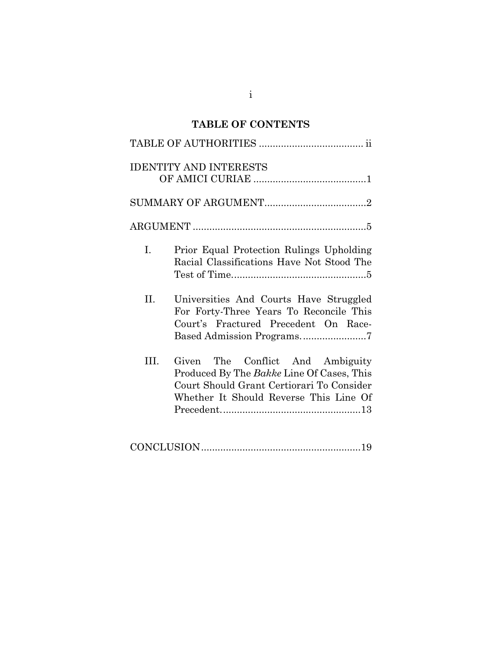# **TABLE OF CONTENTS**

i

| <b>IDENTITY AND INTERESTS</b>                                                                                                                                                   |
|---------------------------------------------------------------------------------------------------------------------------------------------------------------------------------|
|                                                                                                                                                                                 |
|                                                                                                                                                                                 |
| $I_{\cdot}$<br>Prior Equal Protection Rulings Upholding<br>Racial Classifications Have Not Stood The                                                                            |
| II.<br>Universities And Courts Have Struggled<br>For Forty-Three Years To Reconcile This<br>Court's Fractured Precedent On Race-<br>Based Admission Programs7                   |
| III.<br>The Conflict And Ambiguity<br>Given<br>Produced By The Bakke Line Of Cases, This<br>Court Should Grant Certiorari To Consider<br>Whether It Should Reverse This Line Of |
|                                                                                                                                                                                 |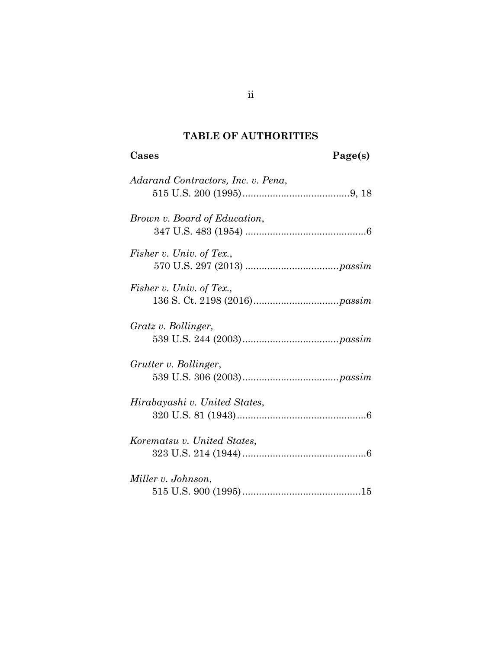# **TABLE OF AUTHORITIES**

# **Cases Page(s)**

| Adarand Contractors, Inc. v. Pena, |
|------------------------------------|
| Brown v. Board of Education,       |
| Fisher v. Univ. of Tex.,           |
| Fisher v. Univ. of Tex.,           |
| Gratz v. Bollinger,                |
| Grutter v. Bollinger,              |
| Hirabayashi v. United States,      |
| Korematsu v. United States,        |
| Miller v. Johnson,                 |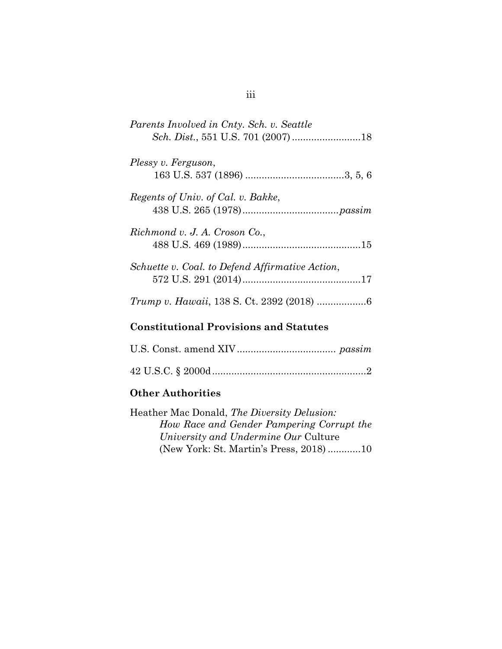| Parents Involved in Cnty. Sch. v. Seattle       |
|-------------------------------------------------|
| Plessy v. Ferguson,                             |
| Regents of Univ. of Cal. v. Bakke,              |
| Richmond v. J. A. Croson Co.,                   |
| Schuette v. Coal. to Defend Affirmative Action, |
|                                                 |
| <b>Constitutional Provisions and Statutes</b>   |
|                                                 |

42 U.S.C. § 2000d........................................................ 2

*University and Undermine Our* Culture

*How Race and Gender Pampering Corrupt the* 

(New York: St. Martin's Press, 2018) ............ 10

Heather Mac Donald, *The Diversity Delusion:* 

**Other Authorities**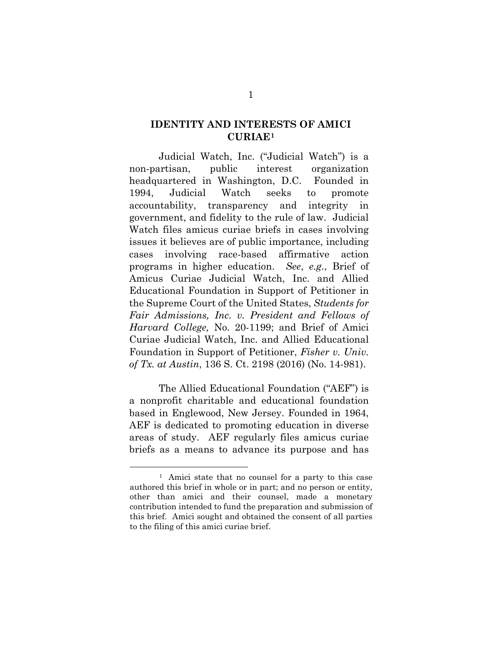#### **IDENTITY AND INTERESTS OF AMICI CURIAE[1](#page-4-0)**

Judicial Watch, Inc. ("Judicial Watch") is a non-partisan, public interest organization headquartered in Washington, D.C. Founded in 1994, Judicial Watch seeks to promote accountability, transparency and integrity in government, and fidelity to the rule of law. Judicial Watch files amicus curiae briefs in cases involving issues it believes are of public importance, including cases involving race-based affirmative action programs in higher education. *See*, *e.g.*, Brief of Amicus Curiae Judicial Watch, Inc. and Allied Educational Foundation in Support of Petitioner in the Supreme Court of the United States, *Students for Fair Admissions, Inc. v. President and Fellows of Harvard College,* No. 20-1199; and Brief of Amici Curiae Judicial Watch, Inc. and Allied Educational Foundation in Support of Petitioner, *Fisher v. Univ. of Tx. at Austin*, 136 S. Ct. 2198 (2016) (No. 14-981).

The Allied Educational Foundation ("AEF") is a nonprofit charitable and educational foundation based in Englewood, New Jersey. Founded in 1964, AEF is dedicated to promoting education in diverse areas of study. AEF regularly files amicus curiae briefs as a means to advance its purpose and has

<span id="page-4-0"></span><sup>1</sup> Amici state that no counsel for a party to this case authored this brief in whole or in part; and no person or entity, other than amici and their counsel, made a monetary contribution intended to fund the preparation and submission of this brief. Amici sought and obtained the consent of all parties to the filing of this amici curiae brief.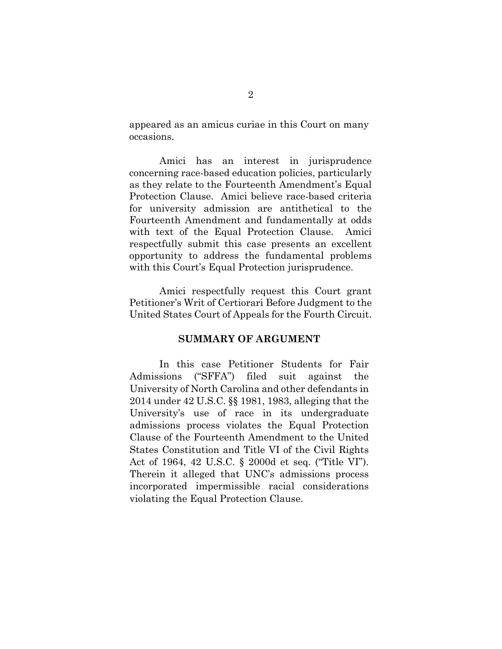appeared as an amicus curiae in this Court on many occasions.

 Amici has an interest in jurisprudence concerning race-based education policies, particularly as they relate to the Fourteenth Amendment's Equal Protection Clause. Amici believe race-based criteria for university admission are antithetical to the Fourteenth Amendment and fundamentally at odds with text of the Equal Protection Clause. Amici respectfully submit this case presents an excellent opportunity to address the fundamental problems with this Court's Equal Protection jurisprudence.

 Amici respectfully request this Court grant Petitioner's Writ of Certiorari Before Judgment to the United States Court of Appeals for the Fourth Circuit.

#### **SUMMARY OF ARGUMENT**

 In this case Petitioner Students for Fair Admissions ("SFFA") filed suit against the University of North Carolina and other defendants in 2014 under 42 U.S.C. §§ 1981, 1983, alleging that the University's use of race in its undergraduate admissions process violates the Equal Protection Clause of the Fourteenth Amendment to the United States Constitution and Title VI of the Civil Rights Act of 1964, 42 U.S.C. § 2000d et seq. ("Title VI"). Therein it alleged that UNC's admissions process incorporated impermissible racial considerations violating the Equal Protection Clause.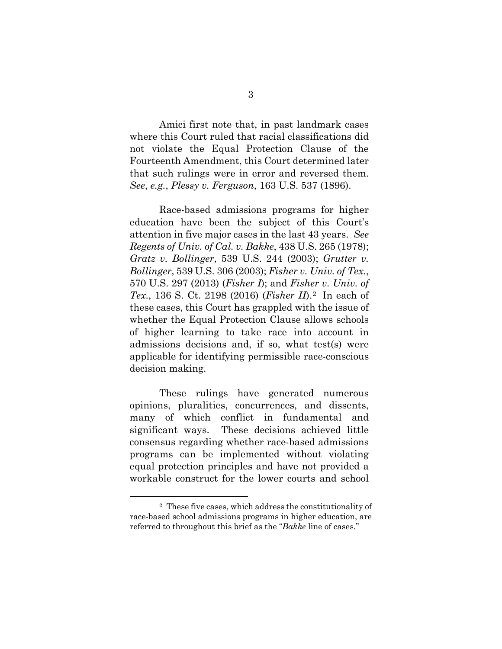Amici first note that, in past landmark cases where this Court ruled that racial classifications did not violate the Equal Protection Clause of the Fourteenth Amendment, this Court determined later that such rulings were in error and reversed them. *See*, *e.g.*, *Plessy v. Ferguson*, 163 U.S. 537 (1896).

 Race-based admissions programs for higher education have been the subject of this Court's attention in five major cases in the last 43 years. *See Regents of Univ. of Cal. v. Bakke*, 438 U.S. 265 (1978); *Gratz v. Bollinger*, 539 U.S. 244 (2003); *Grutter v. Bollinger*, 539 U.S. 306 (2003); *Fisher v. Univ. of Tex.*, 570 U.S. 297 (2013) (*Fisher I*); and *Fisher v. Univ. of Tex*., 136 S. Ct. 2198 (2016) (*Fisher II*).[2](#page-6-0) In each of these cases, this Court has grappled with the issue of whether the Equal Protection Clause allows schools of higher learning to take race into account in admissions decisions and, if so, what test(s) were applicable for identifying permissible race-conscious decision making.

These rulings have generated numerous opinions, pluralities, concurrences, and dissents, many of which conflict in fundamental and significant ways. These decisions achieved little consensus regarding whether race-based admissions programs can be implemented without violating equal protection principles and have not provided a workable construct for the lower courts and school

<span id="page-6-0"></span><sup>2</sup> These five cases, which address the constitutionality of race-based school admissions programs in higher education, are referred to throughout this brief as the "*Bakke* line of cases."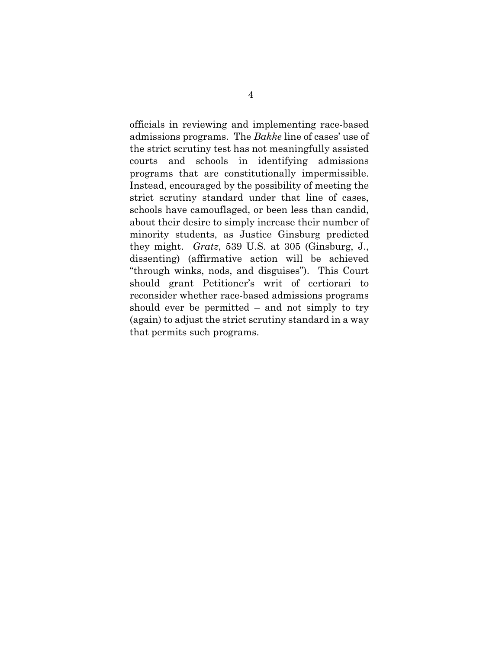officials in reviewing and implementing race-based admissions programs. The *Bakke* line of cases' use of the strict scrutiny test has not meaningfully assisted courts and schools in identifying admissions programs that are constitutionally impermissible. Instead, encouraged by the possibility of meeting the strict scrutiny standard under that line of cases, schools have camouflaged, or been less than candid, about their desire to simply increase their number of minority students, as Justice Ginsburg predicted they might. *Gratz*, 539 U.S. at 305 (Ginsburg, J., dissenting) (affirmative action will be achieved "through winks, nods, and disguises"). This Court should grant Petitioner's writ of certiorari to reconsider whether race-based admissions programs should ever be permitted – and not simply to try (again) to adjust the strict scrutiny standard in a way that permits such programs.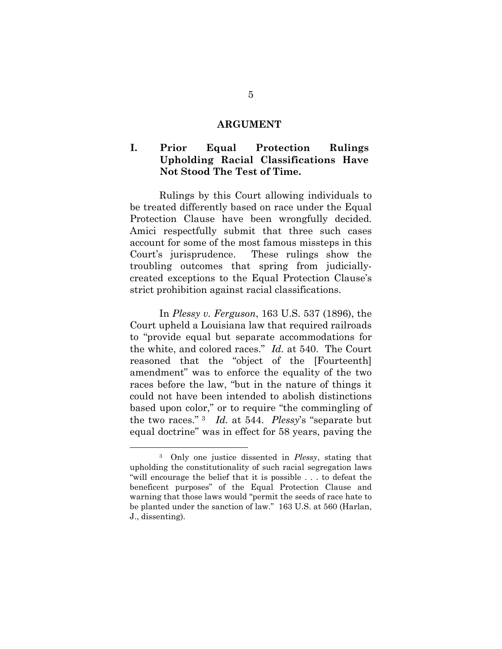#### **ARGUMENT**

#### **I. Prior Equal Protection Rulings Upholding Racial Classifications Have Not Stood The Test of Time.**

Rulings by this Court allowing individuals to be treated differently based on race under the Equal Protection Clause have been wrongfully decided. Amici respectfully submit that three such cases account for some of the most famous missteps in this Court's jurisprudence. These rulings show the troubling outcomes that spring from judiciallycreated exceptions to the Equal Protection Clause's strict prohibition against racial classifications.

In *Plessy v. Ferguson*, 163 U.S. 537 (1896), the Court upheld a Louisiana law that required railroads to "provide equal but separate accommodations for the white, and colored races." *Id.* at 540. The Court reasoned that the "object of the [Fourteenth] amendment" was to enforce the equality of the two races before the law, "but in the nature of things it could not have been intended to abolish distinctions based upon color," or to require "the commingling of the two races." [3](#page-8-0) *Id.* at 544. *Plessy*'s "separate but equal doctrine" was in effect for 58 years, paving the

<span id="page-8-0"></span><sup>3</sup> Only one justice dissented in *Plessy*, stating that upholding the constitutionality of such racial segregation laws "will encourage the belief that it is possible . . . to defeat the beneficent purposes" of the Equal Protection Clause and warning that those laws would "permit the seeds of race hate to be planted under the sanction of law." 163 U.S. at 560 (Harlan, J., dissenting).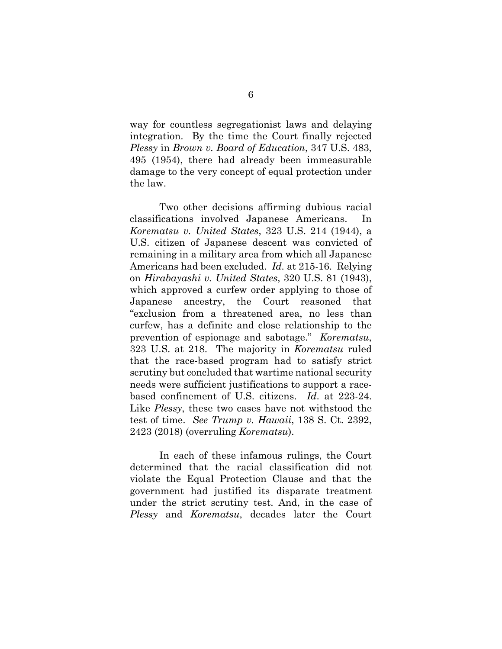way for countless segregationist laws and delaying integration. By the time the Court finally rejected *Plessy* in *Brown v. Board of Education*, 347 U.S. 483, 495 (1954), there had already been immeasurable damage to the very concept of equal protection under the law.

Two other decisions affirming dubious racial classifications involved Japanese Americans. In *Korematsu v. United States*, 323 U.S. 214 (1944), a U.S. citizen of Japanese descent was convicted of remaining in a military area from which all Japanese Americans had been excluded. *Id.* at 215-16. Relying on *Hirabayashi v. United States*, 320 U.S. 81 (1943), which approved a curfew order applying to those of Japanese ancestry, the Court reasoned that "exclusion from a threatened area, no less than curfew, has a definite and close relationship to the prevention of espionage and sabotage." *Korematsu*, 323 U.S. at 218. The majority in *Korematsu* ruled that the race-based program had to satisfy strict scrutiny but concluded that wartime national security needs were sufficient justifications to support a racebased confinement of U.S. citizens. *Id*. at 223-24. Like *Plessy*, these two cases have not withstood the test of time. *See Trump v. Hawaii*, 138 S. Ct. 2392, 2423 (2018) (overruling *Korematsu*).

In each of these infamous rulings, the Court determined that the racial classification did not violate the Equal Protection Clause and that the government had justified its disparate treatment under the strict scrutiny test. And, in the case of *Plessy* and *Korematsu*, decades later the Court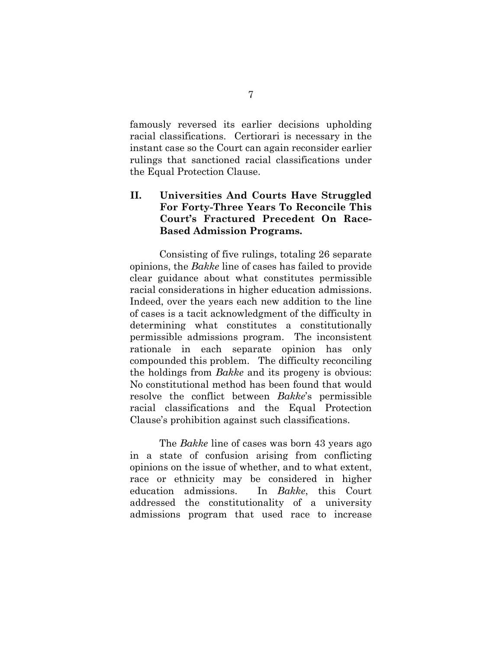famously reversed its earlier decisions upholding racial classifications. Certiorari is necessary in the instant case so the Court can again reconsider earlier rulings that sanctioned racial classifications under the Equal Protection Clause.

### **II. Universities And Courts Have Struggled For Forty-Three Years To Reconcile This Court's Fractured Precedent On Race-Based Admission Programs.**

Consisting of five rulings, totaling 26 separate opinions, the *Bakke* line of cases has failed to provide clear guidance about what constitutes permissible racial considerations in higher education admissions. Indeed, over the years each new addition to the line of cases is a tacit acknowledgment of the difficulty in determining what constitutes a constitutionally permissible admissions program. The inconsistent rationale in each separate opinion has only compounded this problem. The difficulty reconciling the holdings from *Bakke* and its progeny is obvious: No constitutional method has been found that would resolve the conflict between *Bakke*'s permissible racial classifications and the Equal Protection Clause's prohibition against such classifications.

The *Bakke* line of cases was born 43 years ago in a state of confusion arising from conflicting opinions on the issue of whether, and to what extent, race or ethnicity may be considered in higher education admissions. In *Bakke*, this Court addressed the constitutionality of a university admissions program that used race to increase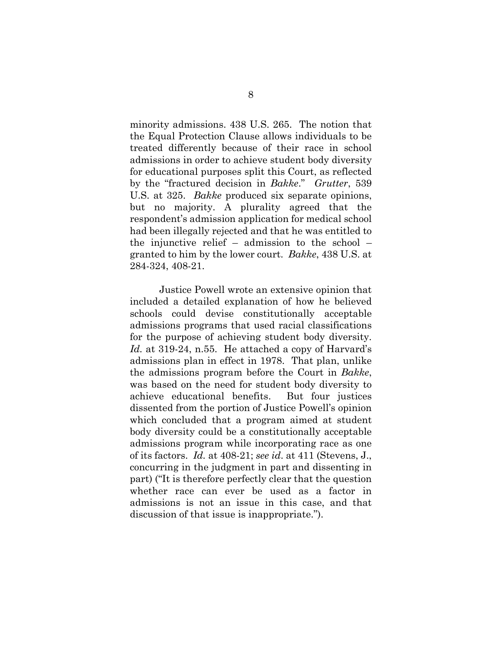minority admissions. 438 U.S. 265. The notion that the Equal Protection Clause allows individuals to be treated differently because of their race in school admissions in order to achieve student body diversity for educational purposes split this Court, as reflected by the "fractured decision in *Bakke*." *Grutter*, 539 U.S. at 325. *Bakke* produced six separate opinions, but no majority. A plurality agreed that the respondent's admission application for medical school had been illegally rejected and that he was entitled to the injunctive relief – admission to the school – granted to him by the lower court. *Bakke*, 438 U.S. at 284-324, 408-21.

Justice Powell wrote an extensive opinion that included a detailed explanation of how he believed schools could devise constitutionally acceptable admissions programs that used racial classifications for the purpose of achieving student body diversity. *Id.* at 319-24, n.55. He attached a copy of Harvard's admissions plan in effect in 1978. That plan, unlike the admissions program before the Court in *Bakke*, was based on the need for student body diversity to achieve educational benefits. But four justices dissented from the portion of Justice Powell's opinion which concluded that a program aimed at student body diversity could be a constitutionally acceptable admissions program while incorporating race as one of its factors. *Id.* at 408-21; *see id*. at 411 (Stevens, J., concurring in the judgment in part and dissenting in part) ("It is therefore perfectly clear that the question whether race can ever be used as a factor in admissions is not an issue in this case, and that discussion of that issue is inappropriate.").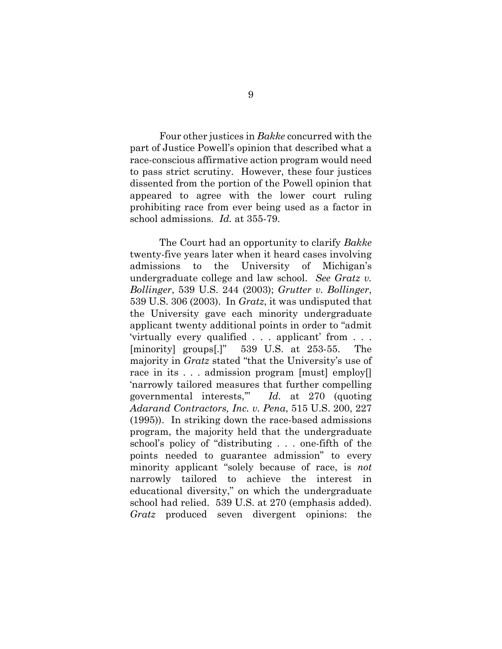Four other justices in *Bakke* concurred with the part of Justice Powell's opinion that described what a race-conscious affirmative action program would need to pass strict scrutiny. However, these four justices dissented from the portion of the Powell opinion that appeared to agree with the lower court ruling prohibiting race from ever being used as a factor in school admissions. *Id.* at 355-79.

The Court had an opportunity to clarify *Bakke*  twenty-five years later when it heard cases involving admissions to the University of Michigan's undergraduate college and law school. *See Gratz v. Bollinger*, 539 U.S. 244 (2003); *Grutter v. Bollinger*, 539 U.S. 306 (2003). In *Gratz*, it was undisputed that the University gave each minority undergraduate applicant twenty additional points in order to "admit 'virtually every qualified . . . applicant' from . . . [minority] groups[.]" 539 U.S. at 253-55. The majority in *Gratz* stated "that the University's use of race in its . . . admission program [must] employ[] 'narrowly tailored measures that further compelling governmental interests,'" *Id.* at 270 (quoting *Adarand Contractors, Inc. v. Pena*, 515 U.S. 200, 227 (1995)). In striking down the race-based admissions program, the majority held that the undergraduate school's policy of "distributing . . . one-fifth of the points needed to guarantee admission" to every minority applicant "solely because of race, is *not* narrowly tailored to achieve the interest in educational diversity," on which the undergraduate school had relied. 539 U.S. at 270 (emphasis added). *Gratz* produced seven divergent opinions: the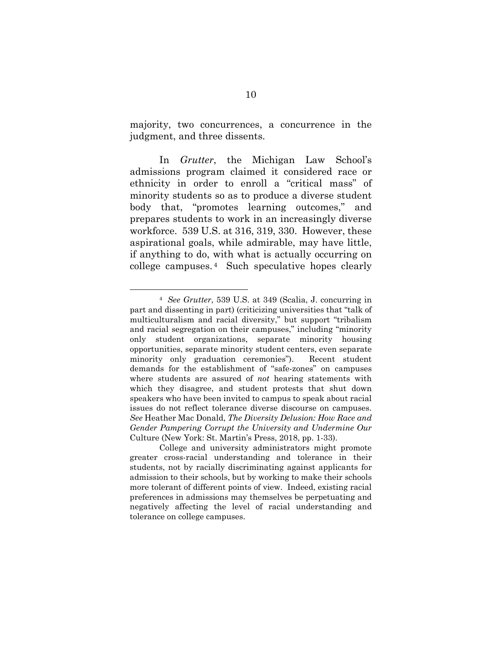majority, two concurrences, a concurrence in the judgment, and three dissents.

In *Grutter*, the Michigan Law School's admissions program claimed it considered race or ethnicity in order to enroll a "critical mass" of minority students so as to produce a diverse student body that, "promotes learning outcomes," and prepares students to work in an increasingly diverse workforce. 539 U.S. at 316, 319, 330. However, these aspirational goals, while admirable, may have little, if anything to do, with what is actually occurring on college campuses. [4](#page-13-0) Such speculative hopes clearly

<span id="page-13-0"></span><sup>4</sup> *See Grutter*, 539 U.S. at 349 (Scalia, J. concurring in part and dissenting in part) (criticizing universities that "talk of multiculturalism and racial diversity," but support "tribalism and racial segregation on their campuses," including "minority only student organizations, separate minority housing opportunities, separate minority student centers, even separate minority only graduation ceremonies"). Recent student demands for the establishment of "safe-zones" on campuses where students are assured of *not* hearing statements with which they disagree, and student protests that shut down speakers who have been invited to campus to speak about racial issues do not reflect tolerance diverse discourse on campuses. *See* Heather Mac Donald, *The Diversity Delusion: How Race and Gender Pampering Corrupt the University and Undermine Our*  Culture (New York: St. Martin's Press, 2018, pp. 1-33).

College and university administrators might promote greater cross-racial understanding and tolerance in their students, not by racially discriminating against applicants for admission to their schools, but by working to make their schools more tolerant of different points of view. Indeed, existing racial preferences in admissions may themselves be perpetuating and negatively affecting the level of racial understanding and tolerance on college campuses.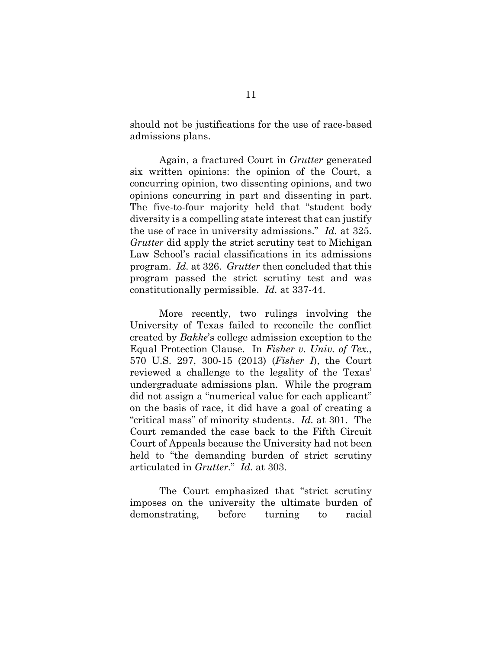should not be justifications for the use of race-based admissions plans.

Again, a fractured Court in *Grutter* generated six written opinions: the opinion of the Court, a concurring opinion, two dissenting opinions, and two opinions concurring in part and dissenting in part. The five-to-four majority held that "student body diversity is a compelling state interest that can justify the use of race in university admissions." *Id.* at 325. *Grutter* did apply the strict scrutiny test to Michigan Law School's racial classifications in its admissions program. *Id.* at 326. *Grutter* then concluded that this program passed the strict scrutiny test and was constitutionally permissible. *Id.* at 337-44.

More recently, two rulings involving the University of Texas failed to reconcile the conflict created by *Bakke*'s college admission exception to the Equal Protection Clause. In *Fisher v. Univ. of Tex.*, 570 U.S. 297, 300-15 (2013) (*Fisher I*), the Court reviewed a challenge to the legality of the Texas' undergraduate admissions plan. While the program did not assign a "numerical value for each applicant" on the basis of race, it did have a goal of creating a "critical mass" of minority students. *Id.* at 301. The Court remanded the case back to the Fifth Circuit Court of Appeals because the University had not been held to "the demanding burden of strict scrutiny articulated in *Grutter.*" *Id.* at 303.

The Court emphasized that "strict scrutiny imposes on the university the ultimate burden of demonstrating, before turning to racial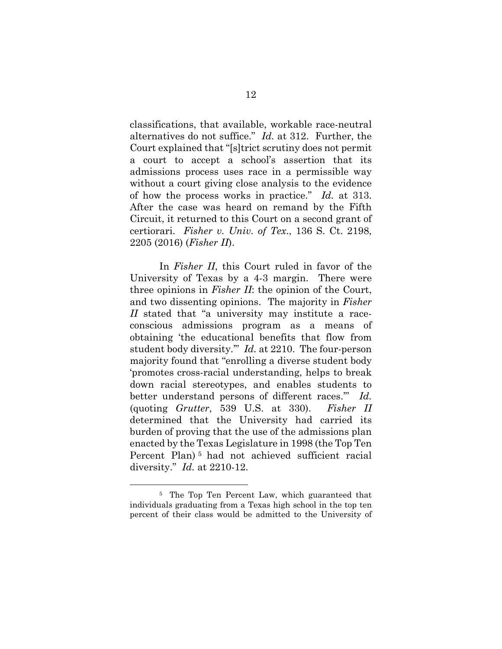classifications, that available, workable race-neutral alternatives do not suffice." *Id.* at 312. Further, the Court explained that "[s]trict scrutiny does not permit a court to accept a school's assertion that its admissions process uses race in a permissible way without a court giving close analysis to the evidence of how the process works in practice." *Id.* at 313. After the case was heard on remand by the Fifth Circuit, it returned to this Court on a second grant of certiorari. *Fisher v. Univ. of Tex*., 136 S. Ct. 2198, 2205 (2016) (*Fisher II*).

In *Fisher II*, this Court ruled in favor of the University of Texas by a 4-3 margin. There were three opinions in *Fisher II*: the opinion of the Court, and two dissenting opinions. The majority in *Fisher II* stated that "a university may institute a raceconscious admissions program as a means of obtaining 'the educational benefits that flow from student body diversity.'" *Id.* at 2210. The four-person majority found that "enrolling a diverse student body 'promotes cross-racial understanding, helps to break down racial stereotypes, and enables students to better understand persons of different races.'" *Id.* (quoting *Grutter*, 539 U.S. at 330). *Fisher II* determined that the University had carried its burden of proving that the use of the admissions plan enacted by the Texas Legislature in 1998 (the Top Ten Percent Plan) [5](#page-15-0) had not achieved sufficient racial diversity." *Id.* at 2210-12.

<span id="page-15-0"></span><sup>5</sup>The Top Ten Percent Law, which guaranteed that individuals graduating from a Texas high school in the top ten percent of their class would be admitted to the University of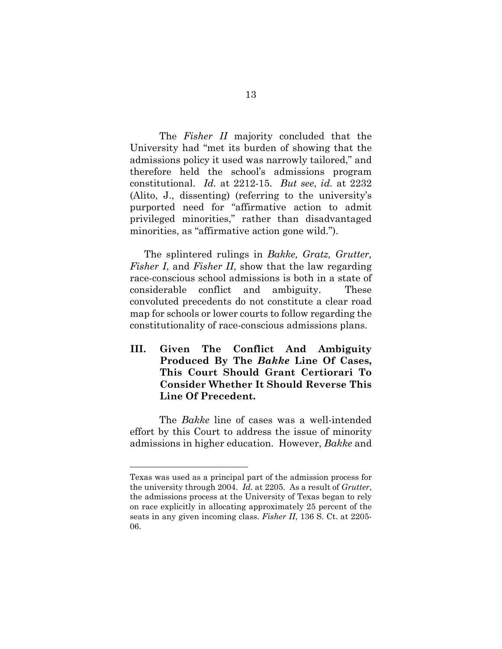The *Fisher II* majority concluded that the University had "met its burden of showing that the admissions policy it used was narrowly tailored," and therefore held the school's admissions program constitutional. *Id.* at 2212-15. *But see*, *id.* at 2232 (Alito, J., dissenting) (referring to the university's purported need for "affirmative action to admit privileged minorities," rather than disadvantaged minorities, as "affirmative action gone wild.").

The splintered rulings in *Bakke, Gratz, Grutter, Fisher I*, and *Fisher II*, show that the law regarding race-conscious school admissions is both in a state of considerable conflict and ambiguity. These convoluted precedents do not constitute a clear road map for schools or lower courts to follow regarding the constitutionality of race-conscious admissions plans.

**III. Given The Conflict And Ambiguity Produced By The** *Bakke* **Line Of Cases, This Court Should Grant Certiorari To Consider Whether It Should Reverse This Line Of Precedent.** 

The *Bakke* line of cases was a well-intended effort by this Court to address the issue of minority admissions in higher education. However, *Bakke* and

Texas was used as a principal part of the admission process for the university through 2004. *Id.* at 2205. As a result of *Grutter*, the admissions process at the University of Texas began to rely on race explicitly in allocating approximately 25 percent of the seats in any given incoming class. *Fisher II*, 136 S. Ct. at 2205- 06.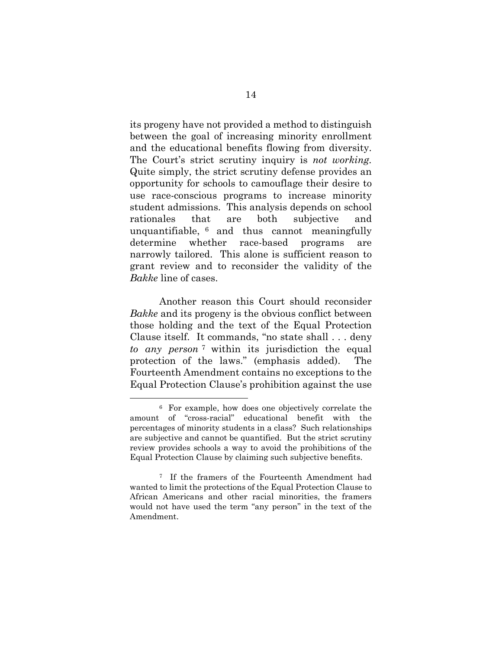its progeny have not provided a method to distinguish between the goal of increasing minority enrollment and the educational benefits flowing from diversity. The Court's strict scrutiny inquiry is *not working.* Quite simply, the strict scrutiny defense provides an opportunity for schools to camouflage their desire to use race-conscious programs to increase minority student admissions. This analysis depends on school rationales that are both subjective and unquantifiable, [6](#page-17-0) and thus cannot meaningfully determine whether race-based programs are narrowly tailored. This alone is sufficient reason to grant review and to reconsider the validity of the *Bakke* line of cases.

Another reason this Court should reconsider *Bakke* and its progeny is the obvious conflict between those holding and the text of the Equal Protection Clause itself. It commands, "no state shall . . . deny *to any person* [7](#page-17-1) within its jurisdiction the equal protection of the laws." (emphasis added). The Fourteenth Amendment contains no exceptions to the Equal Protection Clause's prohibition against the use

<span id="page-17-0"></span><sup>6</sup> For example, how does one objectively correlate the amount of "cross-racial" educational benefit with the percentages of minority students in a class? Such relationships are subjective and cannot be quantified. But the strict scrutiny review provides schools a way to avoid the prohibitions of the Equal Protection Clause by claiming such subjective benefits.

<span id="page-17-1"></span><sup>7</sup> If the framers of the Fourteenth Amendment had wanted to limit the protections of the Equal Protection Clause to African Americans and other racial minorities, the framers would not have used the term "any person" in the text of the Amendment.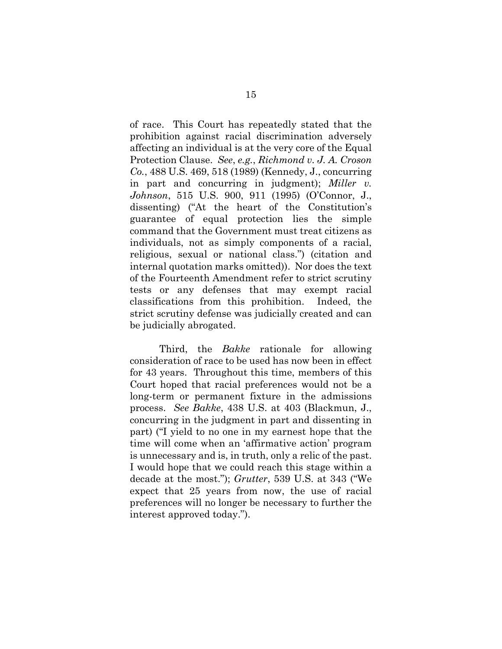of race. This Court has repeatedly stated that the prohibition against racial discrimination adversely affecting an individual is at the very core of the Equal Protection Clause. *See*, *e.g.*, *Richmond v. J. A. Croson Co.*, 488 U.S. 469, 518 (1989) (Kennedy, J., concurring in part and concurring in judgment); *Miller v. Johnson*, 515 U.S. 900, 911 (1995) (O'Connor, J., dissenting) ("At the heart of the Constitution's guarantee of equal protection lies the simple command that the Government must treat citizens as individuals, not as simply components of a racial, religious, sexual or national class.") (citation and internal quotation marks omitted)). Nor does the text of the Fourteenth Amendment refer to strict scrutiny tests or any defenses that may exempt racial classifications from this prohibition. Indeed, the strict scrutiny defense was judicially created and can be judicially abrogated.

Third, the *Bakke* rationale for allowing consideration of race to be used has now been in effect for 43 years. Throughout this time, members of this Court hoped that racial preferences would not be a long-term or permanent fixture in the admissions process. *See Bakke*, 438 U.S. at 403 (Blackmun, J., concurring in the judgment in part and dissenting in part) ("I yield to no one in my earnest hope that the time will come when an 'affirmative action' program is unnecessary and is, in truth, only a relic of the past. I would hope that we could reach this stage within a decade at the most."); *Grutter*, 539 U.S. at 343 ("We expect that 25 years from now, the use of racial preferences will no longer be necessary to further the interest approved today.").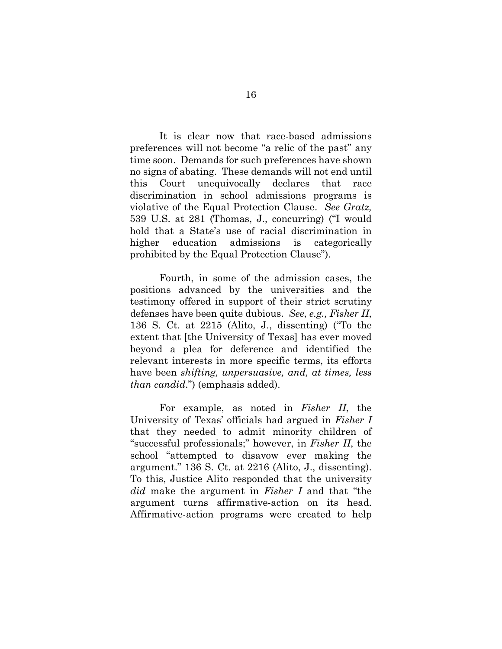It is clear now that race-based admissions preferences will not become "a relic of the past" any time soon. Demands for such preferences have shown no signs of abating. These demands will not end until this Court unequivocally declares that race discrimination in school admissions programs is violative of the Equal Protection Clause. *See Gratz,* 539 U.S. at 281 (Thomas, J., concurring) ("I would hold that a State's use of racial discrimination in higher education admissions is categorically prohibited by the Equal Protection Clause").

 Fourth, in some of the admission cases, the positions advanced by the universities and the testimony offered in support of their strict scrutiny defenses have been quite dubious. *See*, *e.g., Fisher II*, 136 S. Ct. at 2215 (Alito, J., dissenting) ("To the extent that [the University of Texas] has ever moved beyond a plea for deference and identified the relevant interests in more specific terms, its efforts have been *shifting, unpersuasive, and, at times, less than candid*.") (emphasis added).

 For example, as noted in *Fisher II*, the University of Texas' officials had argued in *Fisher I* that they needed to admit minority children of "successful professionals;" however, in *Fisher II*, the school "attempted to disavow ever making the argument." 136 S. Ct. at 2216 (Alito, J., dissenting). To this, Justice Alito responded that the university *did* make the argument in *Fisher I* and that "the argument turns affirmative-action on its head. Affirmative-action programs were created to help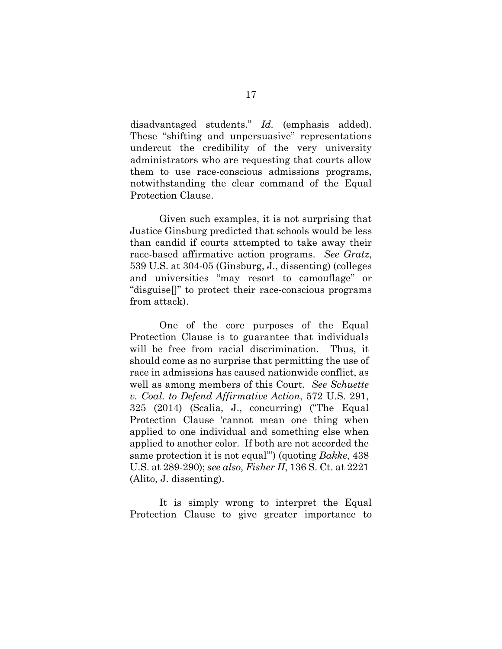disadvantaged students." *Id.* (emphasis added). These "shifting and unpersuasive" representations undercut the credibility of the very university administrators who are requesting that courts allow them to use race-conscious admissions programs, notwithstanding the clear command of the Equal Protection Clause.

Given such examples, it is not surprising that Justice Ginsburg predicted that schools would be less than candid if courts attempted to take away their race-based affirmative action programs. *See Gratz*, 539 U.S. at 304-05 (Ginsburg, J., dissenting) (colleges and universities "may resort to camouflage" or "disguise[]" to protect their race-conscious programs from attack).

One of the core purposes of the Equal Protection Clause is to guarantee that individuals will be free from racial discrimination. Thus, it should come as no surprise that permitting the use of race in admissions has caused nationwide conflict, as well as among members of this Court. *See Schuette v. Coal. to Defend Affirmative Action*, 572 U.S. 291, 325 (2014) (Scalia, J., concurring) ("The Equal Protection Clause 'cannot mean one thing when applied to one individual and something else when applied to another color. If both are not accorded the same protection it is not equal'") (quoting *Bakke*, 438 U.S. at 289-290); *see also, Fisher II*, 136 S. Ct. at 2221 (Alito, J. dissenting).

It is simply wrong to interpret the Equal Protection Clause to give greater importance to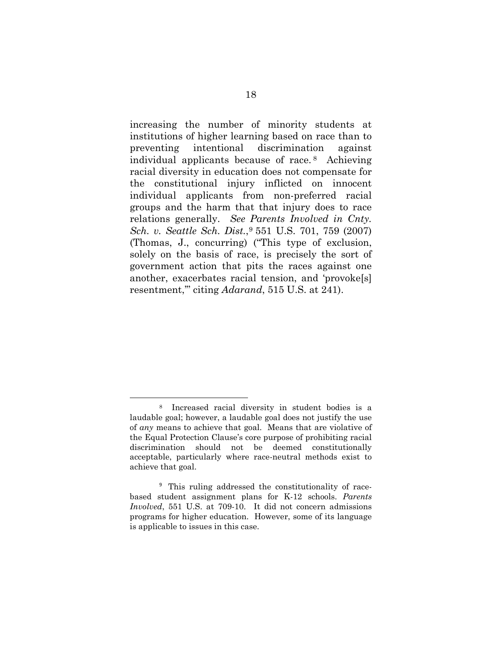increasing the number of minority students at institutions of higher learning based on race than to preventing intentional discrimination against individual applicants because of race. [8](#page-21-0) Achieving racial diversity in education does not compensate for the constitutional injury inflicted on innocent individual applicants from non-preferred racial groups and the harm that that injury does to race relations generally. *See Parents Involved in Cnty. Sch. v. Seattle Sch. Dist.*,[9](#page-21-1) 551 U.S. 701, 759 (2007) (Thomas, J., concurring) ("This type of exclusion, solely on the basis of race, is precisely the sort of government action that pits the races against one another, exacerbates racial tension, and 'provoke[s] resentment,'" citing *Adarand*, 515 U.S. at 241).

<span id="page-21-0"></span><sup>8</sup> Increased racial diversity in student bodies is a laudable goal; however, a laudable goal does not justify the use of *any* means to achieve that goal. Means that are violative of the Equal Protection Clause's core purpose of prohibiting racial discrimination should not be deemed constitutionally acceptable, particularly where race-neutral methods exist to achieve that goal.

<span id="page-21-1"></span><sup>9</sup> This ruling addressed the constitutionality of racebased student assignment plans for K-12 schools. *Parents Involved*, 551 U.S. at 709-10. It did not concern admissions programs for higher education. However, some of its language is applicable to issues in this case.